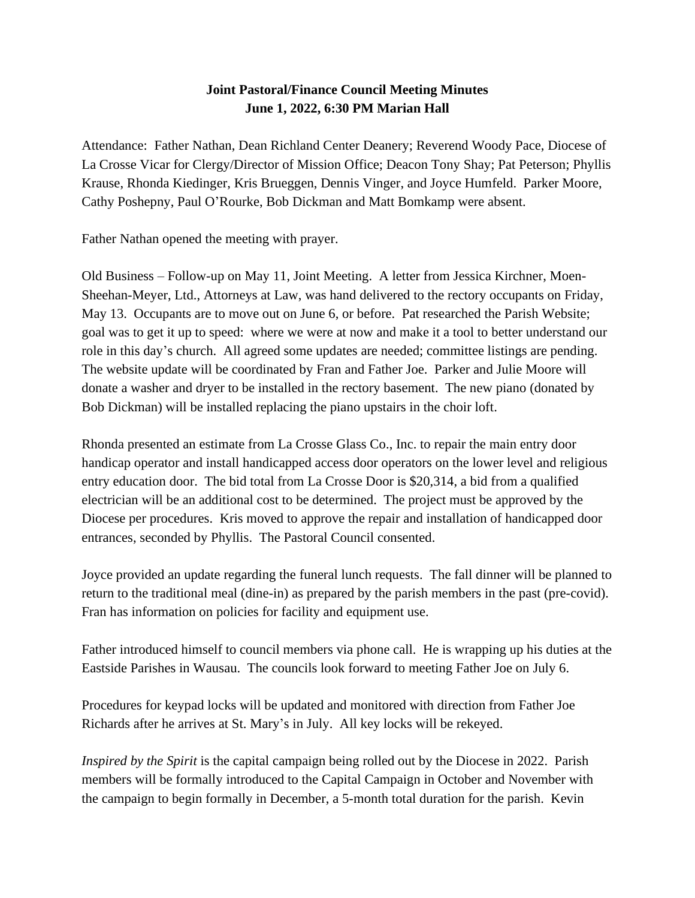## **Joint Pastoral/Finance Council Meeting Minutes June 1, 2022, 6:30 PM Marian Hall**

Attendance: Father Nathan, Dean Richland Center Deanery; Reverend Woody Pace, Diocese of La Crosse Vicar for Clergy/Director of Mission Office; Deacon Tony Shay; Pat Peterson; Phyllis Krause, Rhonda Kiedinger, Kris Brueggen, Dennis Vinger, and Joyce Humfeld. Parker Moore, Cathy Poshepny, Paul O'Rourke, Bob Dickman and Matt Bomkamp were absent.

Father Nathan opened the meeting with prayer.

Old Business – Follow-up on May 11, Joint Meeting. A letter from Jessica Kirchner, Moen-Sheehan-Meyer, Ltd., Attorneys at Law, was hand delivered to the rectory occupants on Friday, May 13. Occupants are to move out on June 6, or before. Pat researched the Parish Website; goal was to get it up to speed: where we were at now and make it a tool to better understand our role in this day's church. All agreed some updates are needed; committee listings are pending. The website update will be coordinated by Fran and Father Joe. Parker and Julie Moore will donate a washer and dryer to be installed in the rectory basement. The new piano (donated by Bob Dickman) will be installed replacing the piano upstairs in the choir loft.

Rhonda presented an estimate from La Crosse Glass Co., Inc. to repair the main entry door handicap operator and install handicapped access door operators on the lower level and religious entry education door. The bid total from La Crosse Door is \$20,314, a bid from a qualified electrician will be an additional cost to be determined. The project must be approved by the Diocese per procedures. Kris moved to approve the repair and installation of handicapped door entrances, seconded by Phyllis. The Pastoral Council consented.

Joyce provided an update regarding the funeral lunch requests. The fall dinner will be planned to return to the traditional meal (dine-in) as prepared by the parish members in the past (pre-covid). Fran has information on policies for facility and equipment use.

Father introduced himself to council members via phone call. He is wrapping up his duties at the Eastside Parishes in Wausau. The councils look forward to meeting Father Joe on July 6.

Procedures for keypad locks will be updated and monitored with direction from Father Joe Richards after he arrives at St. Mary's in July. All key locks will be rekeyed.

*Inspired by the Spirit* is the capital campaign being rolled out by the Diocese in 2022. Parish members will be formally introduced to the Capital Campaign in October and November with the campaign to begin formally in December, a 5-month total duration for the parish. Kevin